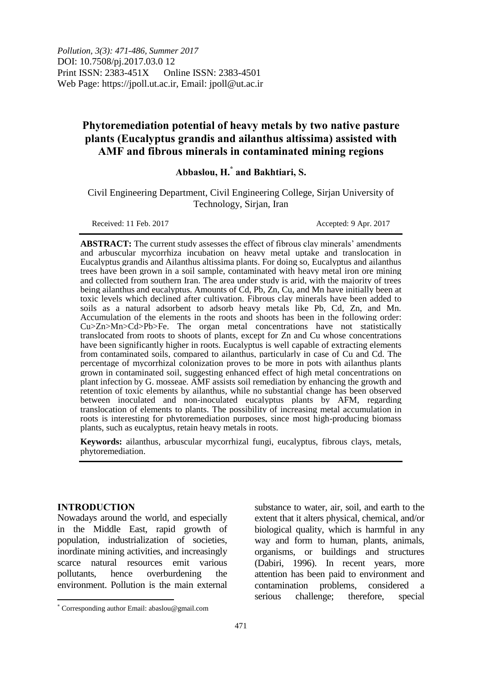# **Phytoremediation potential of heavy metals by two native pasture plants (Eucalyptus grandis and ailanthus altissima) assisted with AMF and fibrous minerals in contaminated mining regions**

# **Abbaslou, H.\* and Bakhtiari, S.**

Civil Engineering Department, Civil Engineering College, Sirjan University of Technology, Sirjan, Iran

Received: 11 Feb. 2017 Accepted: 9 Apr. 2017

**ABSTRACT:** The current study assesses the effect of fibrous clay minerals' amendments and arbuscular mycorrhiza incubation on heavy metal uptake and translocation in Eucalyptus grandis and Ailanthus altissima plants. For doing so, Eucalyptus and ailanthus trees have been grown in a soil sample, contaminated with heavy metal iron ore mining and collected from southern Iran. The area under study is arid, with the majority of trees being ailanthus and eucalyptus. Amounts of Cd, Pb, Zn, Cu, and Mn have initially been at toxic levels which declined after cultivation. Fibrous clay minerals have been added to soils as a natural adsorbent to adsorb heavy metals like Pb, Cd, Zn, and Mn. Accumulation of the elements in the roots and shoots has been in the following order: Cu>Zn>Mn>Cd>Pb>Fe. The organ metal concentrations have not statistically translocated from roots to shoots of plants, except for Zn and Cu whose concentrations have been significantly higher in roots. Eucalyptus is well capable of extracting elements from contaminated soils, compared to ailanthus, particularly in case of Cu and Cd. The percentage of mycorrhizal colonization proves to be more in pots with ailanthus plants grown in contaminated soil, suggesting enhanced effect of high metal concentrations on plant infection by G. mosseae. AMF assists soil remediation by enhancing the growth and retention of toxic elements by ailanthus, while no substantial change has been observed between inoculated and non-inoculated eucalyptus plants by AFM, regarding translocation of elements to plants. The possibility of increasing metal accumulation in roots is interesting for phytoremediation purposes, since most high-producing biomass plants, such as eucalyptus, retain heavy metals in roots.

**Keywords:** ailanthus, arbuscular mycorrhizal fungi, eucalyptus, fibrous clays, metals, phytoremediation.

## **INTRODUCTION**

Nowadays around the world, and especially in the Middle East, rapid growth of population, industrialization of societies, inordinate mining activities, and increasingly scarce natural resources emit various pollutants, hence overburdening the environment. Pollution is the main external

substance to water, air, soil, and earth to the extent that it alters physical, chemical, and/or biological quality, which is harmful in any way and form to human, plants, animals, organisms, or buildings and structures (Dabiri, 1996). In recent years, more attention has been paid to environment and contamination problems, considered a serious challenge; therefore, special

 $\overline{a}$ Corresponding author Email: abaslou@gmail.com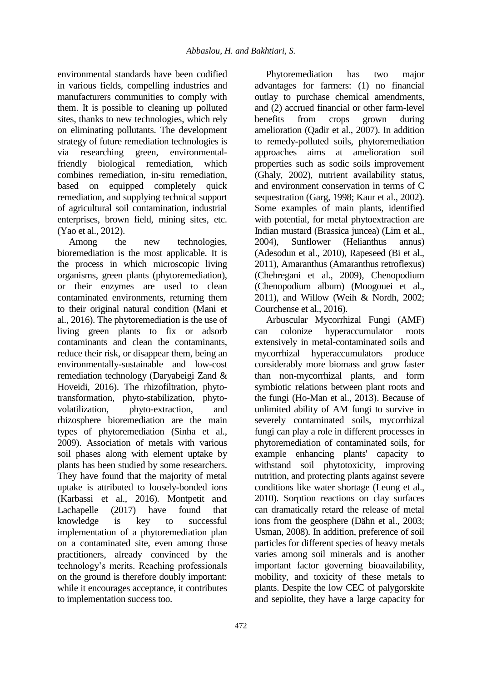environmental standards have been codified in various fields, compelling industries and manufacturers communities to comply with them. It is possible to cleaning up polluted sites, thanks to new technologies, which rely on eliminating pollutants. The development strategy of future remediation technologies is via researching green, environmentalfriendly biological remediation, which combines remediation, in-situ remediation, based on equipped completely quick remediation, and supplying technical support of agricultural soil contamination, industrial enterprises, brown field, mining sites, etc. (Yao et al., 2012).

Among the new technologies, bioremediation is the most applicable. It is the process in which microscopic living organisms, green plants (phytoremediation), or their enzymes are used to clean contaminated environments, returning them to their original natural condition (Mani et al., 2016). The phytoremediation is the use of living green plants to fix or adsorb contaminants and clean the contaminants, reduce their risk, or disappear them, being an environmentally-sustainable and low-cost remediation technology (Daryabeigi Zand & Hoveidi, 2016). The rhizofiltration, phytotransformation, phyto-stabilization, phytovolatilization, phyto-extraction, and rhizosphere bioremediation are the main types of phytoremediation (Sinha et al., 2009). Association of metals with various soil phases along with element uptake by plants has been studied by some researchers. They have found that the majority of metal uptake is attributed to loosely-bonded ions (Karbassi et al., 2016). Montpetit and Lachapelle (2017) have found that knowledge is key to successful implementation of a phytoremediation plan on a contaminated site, even among those practitioners, already convinced by the technology's merits. Reaching professionals on the ground is therefore doubly important: while it encourages acceptance, it contributes to implementation success too.

Phytoremediation has two major advantages for farmers: (1) no financial outlay to purchase chemical amendments, and (2) accrued financial or other farm-level benefits from crops grown during amelioration (Qadir et al., 2007). In addition to remedy-polluted soils, phytoremediation approaches aims at amelioration soil properties such as sodic soils improvement (Ghaly, 2002), nutrient availability status, and environment conservation in terms of C sequestration (Garg, 1998; Kaur et al., 2002). Some examples of main plants, identified with potential, for metal phytoextraction are Indian mustard (Brassica juncea) (Lim et al., 2004), Sunflower (Helianthus annus) (Adesodun et al., 2010), Rapeseed (Bi et al., 2011), Amaranthus (Amaranthus retroflexus) (Chehregani et al., 2009), Chenopodium (Chenopodium album) (Moogouei et al., 2011), and Willow (Weih & Nordh, 2002; Courchense et al., 2016).

Arbuscular Mycorrhizal Fungi (AMF) can colonize hyperaccumulator roots extensively in metal-contaminated soils and mycorrhizal hyperaccumulators produce considerably more biomass and grow faster than non-mycorrhizal plants, and form symbiotic relations between plant roots and the fungi (Ho-Man et al., 2013). Because of unlimited ability of AM fungi to survive in severely contaminated soils, mycorrhizal fungi can play a role in different processes in phytoremediation of contaminated soils, for example enhancing plants' capacity to withstand soil phytotoxicity, improving nutrition, and protecting plants against severe conditions like water shortage (Leung et al., 2010). Sorption reactions on clay surfaces can dramatically retard the release of metal ions from the geosphere (Dähn et al., 2003; Usman, 2008). In addition, preference of soil particles for different species of heavy metals varies among soil minerals and is another important factor governing bioavailability, mobility, and toxicity of these metals to plants. Despite the low CEC of palygorskite and sepiolite, they have a large capacity for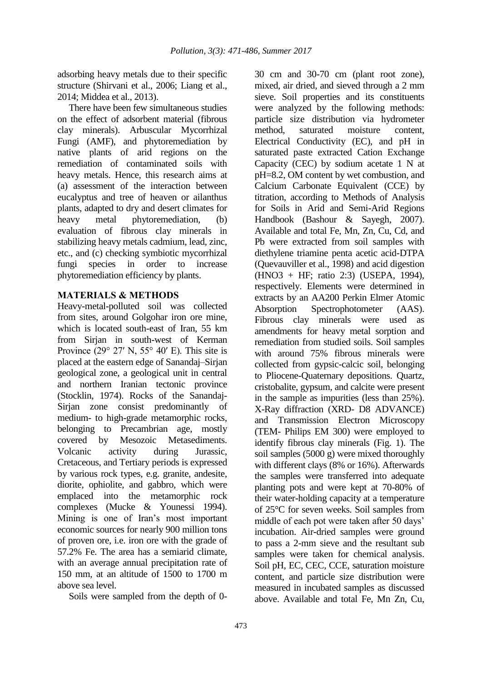adsorbing heavy metals due to their specific structure (Shirvani et al., 2006; Liang et al., 2014; Middea et al., 2013).

There have been few simultaneous studies on the effect of adsorbent material (fibrous clay minerals). Arbuscular Mycorrhizal Fungi (AMF), and phytoremediation by native plants of arid regions on the remediation of contaminated soils with heavy metals. Hence, this research aims at (a) assessment of the interaction between eucalyptus and tree of heaven or ailanthus plants, adapted to dry and desert climates for heavy metal phytoremediation, (b) evaluation of fibrous clay minerals in stabilizing heavy metals cadmium, lead, zinc, etc., and (c) checking symbiotic mycorrhizal fungi species in order to increase phytoremediation efficiency by plants.

#### **MATERIALS & METHODS**

Heavy-metal-polluted soil was collected from sites, around Golgohar iron ore mine, which is located south-east of Iran, 55 km from Sirjan in south-west of Kerman Province (29 $\degree$  27' N, 55 $\degree$  40' E). This site is placed at the eastern edge of Sanandaj–Sirjan geological zone, a geological unit in central and northern Iranian tectonic province (Stocklin, 1974). Rocks of the Sanandaj-Sirjan zone consist predominantly of medium- to high-grade metamorphic rocks, belonging to Precambrian age, mostly covered by Mesozoic Metasediments. Volcanic activity during Jurassic, Cretaceous, and Tertiary periods is expressed by various rock types, e.g. granite, andesite, diorite, ophiolite, and gabbro, which were emplaced into the metamorphic rock complexes (Mucke & Younessi 1994). Mining is one of Iran's most important economic sources for nearly 900 million tons of proven ore, i.e. iron ore with the grade of 57.2% Fe. The area has a semiarid climate, with an average annual precipitation rate of 150 mm, at an altitude of 1500 to 1700 m above sea level.

Soils were sampled from the depth of 0-

30 cm and 30-70 cm (plant root zone), mixed, air dried, and sieved through a 2 mm sieve. Soil properties and its constituents were analyzed by the following methods: particle size distribution via hydrometer method, saturated moisture content, Electrical Conductivity (EC), and pH in saturated paste extracted Cation Exchange Capacity (CEC) by sodium acetate 1 N at pH=8.2, OM content by wet combustion, and Calcium Carbonate Equivalent (CCE) by titration, according to Methods of Analysis for Soils in Arid and Semi-Arid Regions Handbook (Bashour & Sayegh, 2007). Available and total Fe, Mn, Zn, Cu, Cd, and Pb were extracted from soil samples with diethylene triamine penta acetic acid-DTPA (Quevauviller et al., 1998) and acid digestion (HNO3 + HF; ratio 2:3) (USEPA, 1994), respectively. Elements were determined in extracts by an AA200 Perkin Elmer Atomic Absorption Spectrophotometer (AAS). Fibrous clay minerals were used as amendments for heavy metal sorption and remediation from studied soils. Soil samples with around 75% fibrous minerals were collected from gypsic-calcic soil, belonging to Pliocene-Quaternary depositions. Quartz, cristobalite, gypsum, and calcite were present in the sample as impurities (less than 25%). X-Ray diffraction (XRD- D8 ADVANCE) and Transmission Electron Microscopy (TEM- Philips EM 300) were employed to identify fibrous clay minerals (Fig. 1). The soil samples (5000 g) were mixed thoroughly with different clays (8% or 16%). Afterwards the samples were transferred into adequate planting pots and were kept at 70-80% of their water-holding capacity at a temperature of 25°C for seven weeks. Soil samples from middle of each pot were taken after 50 days' incubation. Air-dried samples were ground to pass a 2-mm sieve and the resultant sub samples were taken for chemical analysis. Soil pH, EC, CEC, CCE, saturation moisture content, and particle size distribution were measured in incubated samples as discussed above. Available and total Fe, Mn Zn, Cu,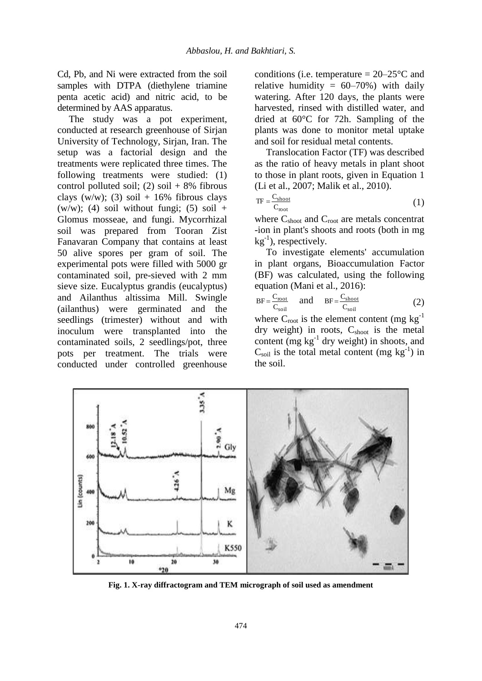Cd, Pb, and Ni were extracted from the soil samples with DTPA (diethylene triamine penta acetic acid) and nitric acid, to be determined by AAS apparatus.

The study was a pot experiment, conducted at research greenhouse of Sirjan University of Technology, Sirjan, Iran. The setup was a factorial design and the treatments were replicated three times. The following treatments were studied: (1) control polluted soil; (2) soil  $+ 8\%$  fibrous clays (w/w); (3) soil  $+16\%$  fibrous clays (w/w); (4) soil without fungi; (5) soil + Glomus mosseae, and fungi. Mycorrhizal soil was prepared from Tooran Zist Fanavaran Company that contains at least 50 alive spores per gram of soil. The experimental pots were filled with 5000 gr contaminated soil, pre-sieved with 2 mm sieve size. Eucalyptus grandis (eucalyptus) and Ailanthus altissima Mill. Swingle (ailanthus) were germinated and the seedlings (trimester) without and with inoculum were transplanted into the contaminated soils, 2 seedlings/pot, three pots per treatment. The trials were conducted under controlled greenhouse conditions (i.e. temperature  $= 20-25$ °C and relative humidity =  $60-70\%$ ) with daily watering. After 120 days, the plants were harvested, rinsed with distilled water, and dried at 60°C for 72h. Sampling of the plants was done to monitor metal uptake and soil for residual metal contents.

Translocation Factor (TF) was described as the ratio of heavy metals in plant shoot to those in plant roots, given in Equation 1 (Li et al., 2007; Malik et al., 2010).

$$
TF = \frac{C_{\text{shoot}}}{C_{\text{root}}} \tag{1}
$$

where  $C_{\text{shoot}}$  and  $C_{\text{root}}$  are metals concentrat -ion in plant's shoots and roots (both in mg  $kg^{-1}$ ), respectively.

To investigate elements' accumulation in plant organs, Bioaccumulation Factor (BF) was calculated, using the following equation (Mani et al., 2016):

$$
BF = \frac{C_{\text{root}}}{C_{\text{soil}}} \quad \text{and} \quad BF = \frac{C_{\text{shoot}}}{C_{\text{soil}}} \tag{2}
$$

where  $C_{\text{root}}$  is the element content (mg kg<sup>-1</sup>) dry weight) in roots,  $C_{\text{shoot}}$  is the metal content (mg  $kg^{-1}$  dry weight) in shoots, and  $C_{\text{soil}}$  is the total metal content (mg kg<sup>-1</sup>) in the soil.



**Fig. 1. X-ray diffractogram and TEM micrograph of soil used as amendment**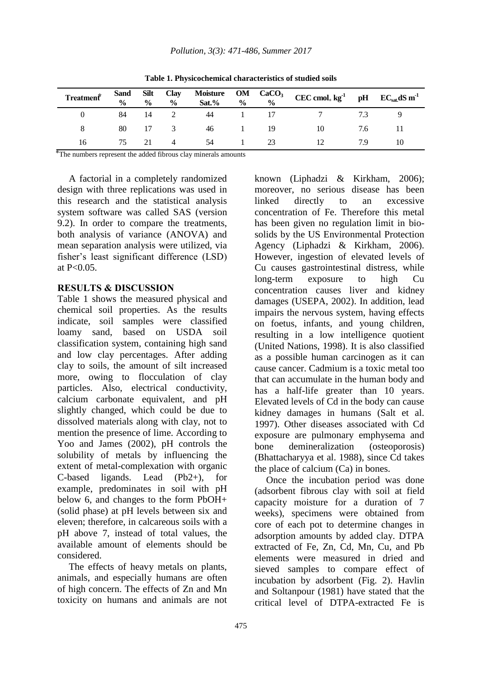| Treatment® |      |      |                |    |                 |     |     |  |
|------------|------|------|----------------|----|-----------------|-----|-----|--|
|            | 84   | - 14 | $\overline{2}$ | 44 | 1 17            |     | 73  |  |
|            | 80   |      | 17 3           | 46 | $\sim$ 1 $\sim$ | -19 | 7.6 |  |
| 16         | 75 — | 21   | $\Delta$       | 54 |                 | 23  | 79  |  |

**Table 1. Physicochemical characteristics of studied soils**

⃰The numbers represent the added fibrous clay minerals amounts

A factorial in a completely randomized design with three replications was used in this research and the statistical analysis system software was called SAS (version 9.2). In order to compare the treatments, both analysis of variance (ANOVA) and mean separation analysis were utilized, via fisher's least significant difference (LSD) at  $P < 0.05$ .

#### **RESULTS & DISCUSSION**

Table 1 shows the measured physical and chemical soil properties. As the results indicate, soil samples were classified loamy sand, based on USDA soil classification system, containing high sand and low clay percentages. After adding clay to soils, the amount of silt increased more, owing to flocculation of clay particles. Also, electrical conductivity, calcium carbonate equivalent, and pH slightly changed, which could be due to dissolved materials along with clay, not to mention the presence of lime. According to Yoo and James (2002), pH controls the solubility of metals by influencing the extent of metal-complexation with organic C-based ligands. Lead (Pb2+), for example, predominates in soil with pH below 6, and changes to the form PbOH+ (solid phase) at pH levels between six and eleven; therefore, in calcareous soils with a pH above 7, instead of total values, the available amount of elements should be considered.

The effects of heavy metals on plants, animals, and especially humans are often of high concern. The effects of Zn and Mn toxicity on humans and animals are not

known (Liphadzi & Kirkham, 2006); moreover, no serious disease has been linked directly to an excessive concentration of Fe. Therefore this metal has been given no regulation limit in biosolids by the US Environmental Protection Agency (Liphadzi & Kirkham, 2006). However, ingestion of elevated levels of Cu causes gastrointestinal distress, while long-term exposure to high Cu concentration causes liver and kidney damages (USEPA, 2002). In addition, lead impairs the nervous system, having effects on foetus, infants, and young children, resulting in a low intelligence quotient (United Nations, 1998). It is also classified as a possible human carcinogen as it can cause cancer. Cadmium is a toxic metal too that can accumulate in the human body and has a half-life greater than 10 years. Elevated levels of Cd in the body can cause kidney damages in humans (Salt et al. 1997). Other diseases associated with Cd exposure are pulmonary emphysema and bone demineralization (osteoporosis) (Bhattacharyya et al. 1988), since Cd takes the place of calcium (Ca) in bones.

Once the incubation period was done (adsorbent fibrous clay with soil at field capacity moisture for a duration of 7 weeks), specimens were obtained from core of each pot to determine changes in adsorption amounts by added clay. DTPA extracted of Fe, Zn, Cd, Mn, Cu, and Pb elements were measured in dried and sieved samples to compare effect of incubation by adsorbent (Fig. 2). Havlin and Soltanpour (1981) have stated that the critical level of DTPA-extracted Fe is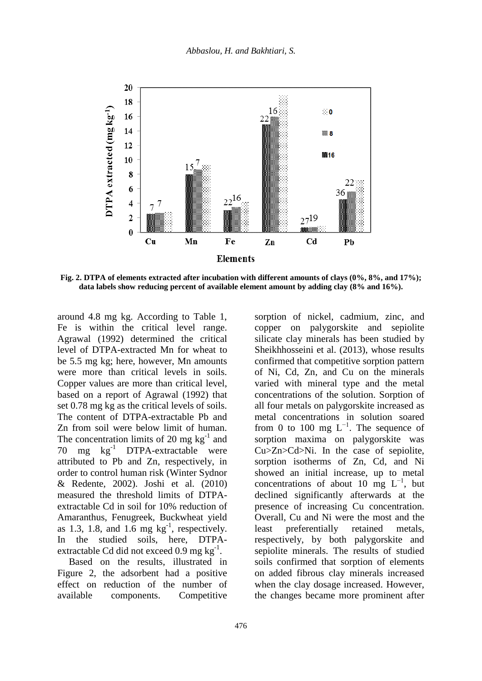

**Fig. 2. DTPA of elements extracted after incubation with different amounts of clays (0%, 8%, and 17%); data labels show reducing percent of available element amount by adding clay (8% and 16%).**

around 4.8 mg kg. According to Table 1, Fe is within the critical level range. Agrawal (1992) determined the critical level of DTPA-extracted Mn for wheat to be 5.5 mg kg; here, however, Mn amounts were more than critical levels in soils. Copper values are more than critical level, based on a report of Agrawal (1992) that set 0.78 mg kg as the critical levels of soils. The content of DTPA-extractable Pb and Zn from soil were below limit of human. The concentration limits of 20 mg  $kg^{-1}$  and 70 mg  $kg^{-1}$  DTPA-extractable were attributed to Pb and Zn, respectively, in order to control human risk (Winter Sydnor & Redente, 2002). Joshi et al. (2010) measured the threshold limits of DTPAextractable Cd in soil for 10% reduction of Amaranthus, Fenugreek, Buckwheat yield as 1.3, 1.8, and 1.6 mg  $kg^{-1}$ , respectively. In the studied soils, here, DTPAextractable Cd did not exceed 0.9 mg  $kg^{-1}$ .

Based on the results, illustrated in Figure 2, the adsorbent had a positive effect on reduction of the number of available components. Competitive sorption of nickel, cadmium, zinc, and copper on palygorskite and sepiolite silicate clay minerals has been studied by Sheikhhosseini et al. (2013), whose results confirmed that competitive sorption pattern of Ni, Cd, Zn, and Cu on the minerals varied with mineral type and the metal concentrations of the solution. Sorption of all four metals on palygorskite increased as metal concentrations in solution soared from 0 to 100 mg  $L^{-1}$ . The sequence of sorption maxima on palygorskite was Cu>Zn>Cd>Ni. In the case of sepiolite, sorption isotherms of Zn, Cd, and Ni showed an initial increase, up to metal concentrations of about 10 mg  $L^{-1}$ , but declined significantly afterwards at the presence of increasing Cu concentration. Overall, Cu and Ni were the most and the least preferentially retained metals, respectively, by both palygorskite and sepiolite minerals. The results of studied soils confirmed that sorption of elements on added fibrous clay minerals increased when the clay dosage increased. However, the changes became more prominent after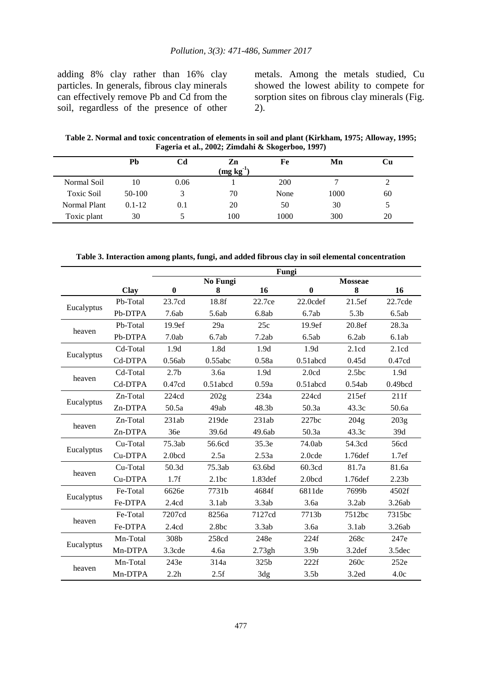adding 8% clay rather than 16% clay particles. In generals, fibrous clay minerals can effectively remove Pb and Cd from the soil, regardless of the presence of other

metals. Among the metals studied, Cu showed the lowest ability to compete for sorption sites on fibrous clay minerals (Fig. 2).

**Table 2. Normal and toxic concentration of elements in soil and plant (Kirkham, 1975; Alloway, 1995; Fageria et al., 2002; Zimdahi & Skogerboo, 1997)**

|                   | Pb         | Cd   | Zn<br>$\left(\frac{\text{mg}}{\text{kg}}\right)^{1}$ | Fe   | Mn   | Сu  |
|-------------------|------------|------|------------------------------------------------------|------|------|-----|
| Normal Soil       | 10         | 0.06 |                                                      | 200  |      |     |
| <b>Toxic Soil</b> | $50-100$   |      | 70                                                   | None | 1000 | 60  |
| Normal Plant      | $0.1 - 12$ | 0.1  | 20                                                   | 50   | 30   | . . |
| Toxic plant       | 30         |      | 100                                                  | 1000 | 300  | 20  |

**Table 3. Interaction among plants, fungi, and added fibrous clay in soil elemental concentration**

|            |          | Fungi            |             |         |                   |                    |                    |  |  |
|------------|----------|------------------|-------------|---------|-------------------|--------------------|--------------------|--|--|
|            |          | No Fungi         |             |         | <b>Mosseae</b>    |                    |                    |  |  |
|            | Clay     | $\bf{0}$         | 8           | 16      | $\mathbf{0}$      | 8                  | 16                 |  |  |
| Eucalyptus | Pb-Total | 23.7cd           | 18.8f       | 22.7ce  | 22.0cdef          | 21.5ef             | 22.7cde            |  |  |
|            | Pb-DTPA  | 7.6ab            | 5.6ab       | 6.8ab   | 6.7ab             | 5.3 <sub>b</sub>   | 6.5ab              |  |  |
| heaven     | Pb-Total | 19.9ef           | 29a         | 25c     | 19.9ef            | 20.8ef             | 28.3a              |  |  |
|            | Pb-DTPA  | 7.0ab            | 6.7ab       | 7.2ab   | 6.5ab             | 6.2ab              | 6.1ab              |  |  |
| Eucalyptus | Cd-Total | 1.9d             | 1.8d        | 1.9d    | 1.9d              | 2.1cd              | 2.1cd              |  |  |
|            | Cd-DTPA  | 0.56ab           | 0.55abc     | 0.58a   | $0.51$ abcd       | 0.45d              | 0.47cd             |  |  |
| heaven     | Cd-Total | 2.7 <sub>b</sub> | 3.6a        | 1.9d    | 2.0 <sub>cd</sub> | 2.5bc              | 1.9d               |  |  |
|            | Cd-DTPA  | 0.47cd           | $0.51$ abcd | 0.59a   | $0.51$ abcd       | 0.54ab             | 0.49bcd            |  |  |
|            | Zn-Total | 224cd            | 202g        | 234a    | 224cd             | 215ef              | 211f               |  |  |
| Eucalyptus | Zn-DTPA  | 50.5a            | 49ab        | 48.3b   | 50.3a             | 43.3c              | 50.6a              |  |  |
| heaven     | Zn-Total | 231ab            | 219de       | 231ab   | 227bc             | 204 <sub>g</sub>   | 203g               |  |  |
|            | Zn-DTPA  | 36e              | 39.6d       | 49.6ab  | 50.3a             | 43.3c              | 39d                |  |  |
|            | Cu-Total | 75.3ab           | 56.6cd      | 35.3e   | 74.0ab            | 54.3cd             | 56cd               |  |  |
| Eucalyptus | Cu-DTPA  | 2.0bcd           | 2.5a        | 2.53a   | 2.0cde            | 1.76 def           | 1.7ef              |  |  |
| heaven     | Cu-Total | 50.3d            | 75.3ab      | 63.6bd  | 60.3cd            | 81.7a              | 81.6a              |  |  |
|            | Cu-DTPA  | 1.7f             | 2.1bc       | 1.83def | 2.0bcd            | 1.76def            | 2.23 <sub>b</sub>  |  |  |
| Eucalyptus | Fe-Total | 6626e            | 7731b       | 4684f   | 6811de            | 7699b              | 4502f              |  |  |
|            | Fe-DTPA  | 2.4cd            | 3.1ab       | 3.3ab   | 3.6a              | 3.2ab              | 3.26ab             |  |  |
| heaven     | Fe-Total | 7207cd           | 8256a       | 7127cd  | 7713b             | 7512bc             | 7315bc             |  |  |
|            | Fe-DTPA  | 2.4cd            | 2.8bc       | 3.3ab   | 3.6a              | 3.1ab              | 3.26ab             |  |  |
|            | Mn-Total | 308b             | 258cd       | 248e    | 224f              | 268c               | 247e               |  |  |
| Eucalyptus | Mn-DTPA  | 3.3cde           | 4.6a        | 2.73gh  | 3.9 <sub>b</sub>  | 3.2 <sub>def</sub> | 3.5 <sub>dec</sub> |  |  |
|            | Mn-Total | 243e             | 314a        | 325b    | 222f              | 260c               | 252e               |  |  |
| heaven     | Mn-DTPA  | 2.2 <sub>h</sub> | 2.5f        | 3dg     | 3.5 <sub>b</sub>  | 3.2ed              | 4.0c               |  |  |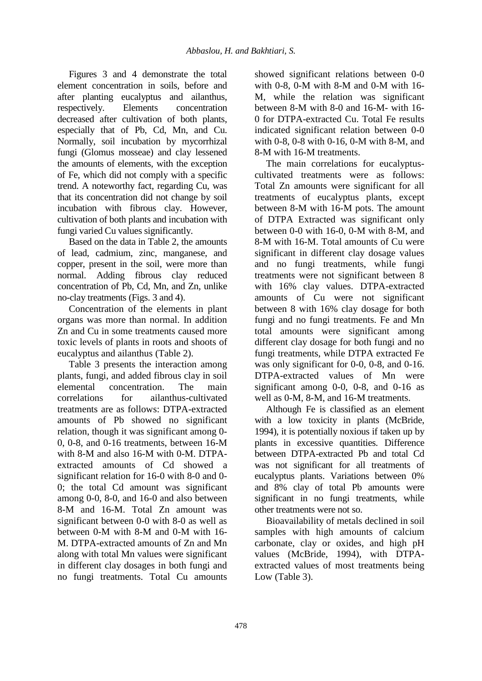Figures 3 and 4 demonstrate the total element concentration in soils, before and after planting eucalyptus and ailanthus, respectively. Elements concentration decreased after cultivation of both plants, especially that of Pb, Cd, Mn, and Cu. Normally, soil incubation by mycorrhizal fungi (Glomus mosseae) and clay lessened the amounts of elements, with the exception of Fe, which did not comply with a specific trend. A noteworthy fact, regarding Cu, was that its concentration did not change by soil incubation with fibrous clay. However, cultivation of both plants and incubation with fungi varied Cu values significantly.

Based on the data in Table 2, the amounts of lead, cadmium, zinc, manganese, and copper, present in the soil, were more than normal. Adding fibrous clay reduced concentration of Pb, Cd, Mn, and Zn, unlike no-clay treatments (Figs. 3 and 4).

Concentration of the elements in plant organs was more than normal. In addition Zn and Cu in some treatments caused more toxic levels of plants in roots and shoots of eucalyptus and ailanthus (Table 2).

Table 3 presents the interaction among plants, fungi, and added fibrous clay in soil elemental concentration. The main correlations for ailanthus-cultivated treatments are as follows: DTPA-extracted amounts of Pb showed no significant relation, though it was significant among 0- 0, 0-8, and 0-16 treatments, between 16-M with 8-M and also 16-M with 0-M. DTPAextracted amounts of Cd showed a significant relation for 16-0 with 8-0 and 0- 0; the total Cd amount was significant among 0-0, 8-0, and 16-0 and also between 8-M and 16-M. Total Zn amount was significant between 0-0 with 8-0 as well as between 0-M with 8-M and 0-M with 16- M. DTPA-extracted amounts of Zn and Mn along with total Mn values were significant in different clay dosages in both fungi and no fungi treatments. Total Cu amounts

showed significant relations between 0-0 with 0-8, 0-M with 8-M and 0-M with 16- M, while the relation was significant between 8-M with 8-0 and 16-M- with 16- 0 for DTPA-extracted Cu. Total Fe results indicated significant relation between 0-0 with 0-8, 0-8 with 0-16, 0-M with 8-M, and 8-M with 16-M treatments.

The main correlations for eucalyptuscultivated treatments were as follows: Total Zn amounts were significant for all treatments of eucalyptus plants, except between 8-M with 16-M pots. The amount of DTPA Extracted was significant only between 0-0 with 16-0, 0-M with 8-M, and 8-M with 16-M. Total amounts of Cu were significant in different clay dosage values and no fungi treatments, while fungi treatments were not significant between 8 with 16% clay values. DTPA-extracted amounts of Cu were not significant between 8 with 16% clay dosage for both fungi and no fungi treatments. Fe and Mn total amounts were significant among different clay dosage for both fungi and no fungi treatments, while DTPA extracted Fe was only significant for 0-0, 0-8, and 0-16. DTPA-extracted values of Mn were significant among 0-0, 0-8, and 0-16 as well as 0-M, 8-M, and 16-M treatments.

Although Fe is classified as an element with a low toxicity in plants (McBride, 1994), it is potentially noxious if taken up by plants in excessive quantities. Difference between DTPA-extracted Pb and total Cd was not significant for all treatments of eucalyptus plants. Variations between 0% and 8% clay of total Pb amounts were significant in no fungi treatments, while other treatments were not so.

Bioavailability of metals declined in soil samples with high amounts of calcium carbonate, clay or oxides, and high pH values (McBride, 1994), with DTPAextracted values of most treatments being Low (Table 3).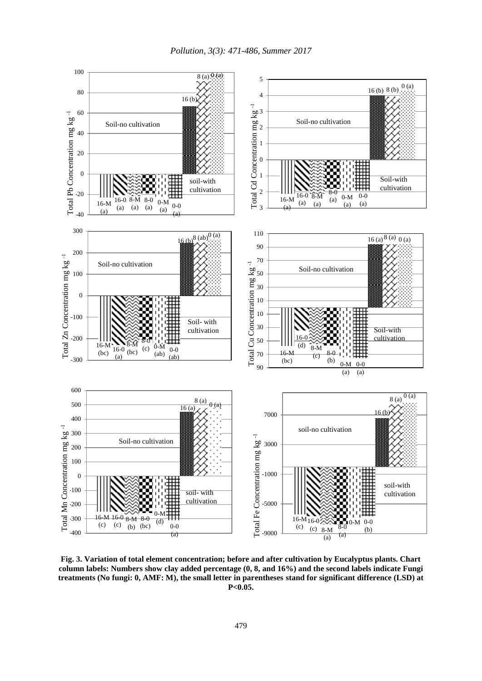

**Fig. 3. Variation of total element concentration; before and after cultivation by Eucalyptus plants. Chart column labels: Numbers show clay added percentage (0, 8, and 16%) and the second labels indicate Fungi treatments (No fungi: 0, AMF: M), the small letter in parentheses stand for significant difference (LSD) at P<0.05.**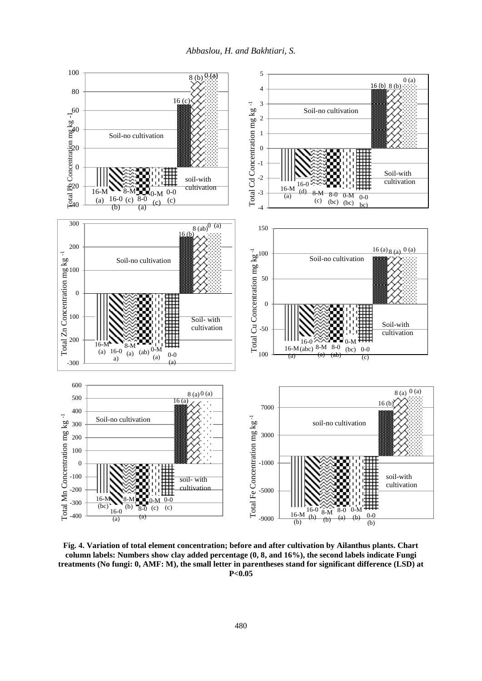

**Fig. 4. Variation of total element concentration; before and after cultivation by Ailanthus plants. Chart column labels: Numbers show clay added percentage (0, 8, and 16%), the second labels indicate Fungi treatments (No fungi: 0, AMF: M), the small letter in parentheses stand for significant difference (LSD) at P<0.05**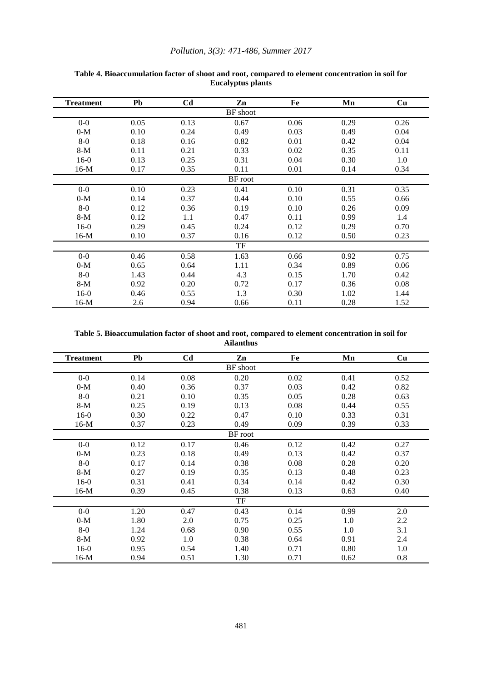#### *Pollution, 3(3): 471-486, Summer 2017*

| <b>Treatment</b> | Pb   | C <sub>d</sub> | Zn      | Fe   | Mn   | Cu   |  |  |
|------------------|------|----------------|---------|------|------|------|--|--|
| BF shoot         |      |                |         |      |      |      |  |  |
| $0-0$            | 0.05 | 0.13           | 0.67    | 0.06 | 0.29 | 0.26 |  |  |
| $0-M$            | 0.10 | 0.24           | 0.49    | 0.03 | 0.49 | 0.04 |  |  |
| $8-0$            | 0.18 | 0.16           | 0.82    | 0.01 | 0.42 | 0.04 |  |  |
| $8-M$            | 0.11 | 0.21           | 0.33    | 0.02 | 0.35 | 0.11 |  |  |
| $16-0$           | 0.13 | 0.25           | 0.31    | 0.04 | 0.30 | 1.0  |  |  |
| $16-M$           | 0.17 | 0.35           | 0.11    | 0.01 | 0.14 | 0.34 |  |  |
|                  |      |                | BF root |      |      |      |  |  |
| $0-0$            | 0.10 | 0.23           | 0.41    | 0.10 | 0.31 | 0.35 |  |  |
| $0-M$            | 0.14 | 0.37           | 0.44    | 0.10 | 0.55 | 0.66 |  |  |
| $8-0$            | 0.12 | 0.36           | 0.19    | 0.10 | 0.26 | 0.09 |  |  |
| $8-M$            | 0.12 | 1.1            | 0.47    | 0.11 | 0.99 | 1.4  |  |  |
| $16-0$           | 0.29 | 0.45           | 0.24    | 0.12 | 0.29 | 0.70 |  |  |
| $16-M$           | 0.10 | 0.37           | 0.16    | 0.12 | 0.50 | 0.23 |  |  |
| TF               |      |                |         |      |      |      |  |  |
| $0-0$            | 0.46 | 0.58           | 1.63    | 0.66 | 0.92 | 0.75 |  |  |
| $0-M$            | 0.65 | 0.64           | 1.11    | 0.34 | 0.89 | 0.06 |  |  |
| $8-0$            | 1.43 | 0.44           | 4.3     | 0.15 | 1.70 | 0.42 |  |  |
| $8-M$            | 0.92 | 0.20           | 0.72    | 0.17 | 0.36 | 0.08 |  |  |
| $16-0$           | 0.46 | 0.55           | 1.3     | 0.30 | 1.02 | 1.44 |  |  |
| $16-M$           | 2.6  | 0.94           | 0.66    | 0.11 | 0.28 | 1.52 |  |  |

#### **Table 4. Bioaccumulation factor of shoot and root, compared to element concentration in soil for Eucalyptus plants**

**Table 5. Bioaccumulation factor of shoot and root, compared to element concentration in soil for Ailanthus**

| <b>Treatment</b> | Pb      | C <sub>d</sub> | Zn   | Fe   | Mn   | Cu   |  |  |  |  |
|------------------|---------|----------------|------|------|------|------|--|--|--|--|
| <b>BF</b> shoot  |         |                |      |      |      |      |  |  |  |  |
| $0-0$            | 0.14    | 0.08           | 0.20 | 0.02 | 0.41 | 0.52 |  |  |  |  |
| $0-M$            | 0.40    | 0.36           | 0.37 | 0.03 | 0.42 | 0.82 |  |  |  |  |
| $8-0$            | 0.21    | 0.10           | 0.35 | 0.05 | 0.28 | 0.63 |  |  |  |  |
| $8-M$            | 0.25    | 0.19           | 0.13 | 0.08 | 0.44 | 0.55 |  |  |  |  |
| $16-0$           | 0.30    | 0.22           | 0.47 | 0.10 | 0.33 | 0.31 |  |  |  |  |
| $16-M$           | 0.37    | 0.23           | 0.49 | 0.09 | 0.39 | 0.33 |  |  |  |  |
|                  | BF root |                |      |      |      |      |  |  |  |  |
| $0-0$            | 0.12    | 0.17           | 0.46 | 0.12 | 0.42 | 0.27 |  |  |  |  |
| $0-M$            | 0.23    | 0.18           | 0.49 | 0.13 | 0.42 | 0.37 |  |  |  |  |
| $8-0$            | 0.17    | 0.14           | 0.38 | 0.08 | 0.28 | 0.20 |  |  |  |  |
| $8-M$            | 0.27    | 0.19           | 0.35 | 0.13 | 0.48 | 0.23 |  |  |  |  |
| $16-0$           | 0.31    | 0.41           | 0.34 | 0.14 | 0.42 | 0.30 |  |  |  |  |
| $16-M$           | 0.39    | 0.45           | 0.38 | 0.13 | 0.63 | 0.40 |  |  |  |  |
| TF               |         |                |      |      |      |      |  |  |  |  |
| $0-0$            | 1.20    | 0.47           | 0.43 | 0.14 | 0.99 | 2.0  |  |  |  |  |
| $0-M$            | 1.80    | 2.0            | 0.75 | 0.25 | 1.0  | 2.2  |  |  |  |  |
| $8-0$            | 1.24    | 0.68           | 0.90 | 0.55 | 1.0  | 3.1  |  |  |  |  |
| $8-M$            | 0.92    | 1.0            | 0.38 | 0.64 | 0.91 | 2.4  |  |  |  |  |
| $16-0$           | 0.95    | 0.54           | 1.40 | 0.71 | 0.80 | 1.0  |  |  |  |  |
| $16-M$           | 0.94    | 0.51           | 1.30 | 0.71 | 0.62 | 0.8  |  |  |  |  |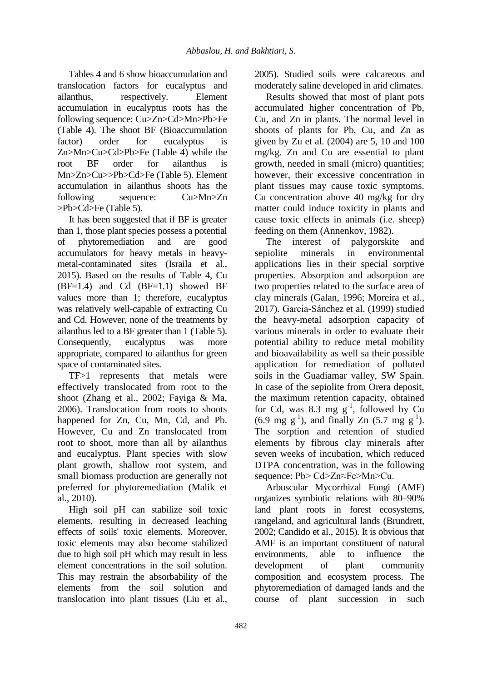Tables 4 and 6 show bioaccumulation and translocation factors for eucalyptus and ailanthus, respectively. Element accumulation in eucalyptus roots has the following sequence: Cu>Zn>Cd>Mn>Pb>Fe (Table 4). The shoot BF (Bioaccumulation factor) order for eucalyptus is Zn>Mn>Cu>Cd>Pb>Fe (Table 4) while the root BF order for ailanthus is Mn>Zn>Cu>>Pb>Cd>Fe (Table 5). Element accumulation in ailanthus shoots has the following sequence:  $Cu>Mn>Zn$ >Pb>Cd>Fe (Table 5).

It has been suggested that if BF is greater than 1, those plant species possess a potential of phytoremediation and are good accumulators for heavy metals in heavymetal-contaminated sites (Israila et al., 2015). Based on the results of Table 4, Cu  $(BF=1.4)$  and Cd  $(BF=1.1)$  showed BF values more than 1; therefore, eucalyptus was relatively well-capable of extracting Cu and Cd. However, none of the treatments by ailanthus led to a BF greater than 1 (Table 5). Consequently, eucalyptus was more appropriate, compared to ailanthus for green space of contaminated sites.

TF>1 represents that metals were effectively translocated from root to the shoot (Zhang et al., 2002; Fayiga & Ma, 2006). Translocation from roots to shoots happened for Zn, Cu, Mn, Cd, and Pb. However, Cu and Zn translocated from root to shoot, more than all by ailanthus and eucalyptus. Plant species with slow plant growth, shallow root system, and small biomass production are generally not preferred for phytoremediation (Malik et al., 2010).

High soil pH can stabilize soil toxic elements, resulting in decreased leaching effects of soils' toxic elements. Moreover, toxic elements may also become stabilized due to high soil pH which may result in less element concentrations in the soil solution. This may restrain the absorbability of the elements from the soil solution and translocation into plant tissues (Liu et al., 2005). Studied soils were calcareous and moderately saline developed in arid climates.

Results showed that most of plant pots accumulated higher concentration of Pb, Cu, and Zn in plants. The normal level in shoots of plants for Pb, Cu, and Zn as given by Zu et al. (2004) are 5, 10 and 100 mg/kg. Zn and Cu are essential to plant growth, needed in small (micro) quantities; however, their excessive concentration in plant tissues may cause toxic symptoms. Cu concentration above 40 mg/kg for dry matter could induce toxicity in plants and cause toxic effects in animals (i.e. sheep) feeding on them (Annenkov, 1982).

The interest of palygorskite and sepiolite minerals in environmental applications lies in their special sorptive properties. Absorption and adsorption are two properties related to the surface area of clay minerals (Galan, 1996; Moreira et al., 2017). García-Sánchez et al. (1999) studied the heavy-metal adsorption capacity of various minerals in order to evaluate their potential ability to reduce metal mobility and bioavailability as well sa their possible application for remediation of polluted soils in the Guadiamar valley, SW Spain. In case of the sepiolite from Orera deposit, the maximum retention capacity, obtained for Cd, was 8.3 mg  $g^{-1}$ , followed by Cu  $(6.9 \text{ mg g}^{-1})$ , and finally Zn  $(5.7 \text{ mg g}^{-1})$ . The sorption and retention of studied elements by fibrous clay minerals after seven weeks of incubation, which reduced DTPA concentration, was in the following sequence: Pb> Cd>Zn≈Fe>Mn>Cu.

Arbuscular Mycorrhizal Fungi (AMF) organizes symbiotic relations with 80–90% land plant roots in forest ecosystems, rangeland, and agricultural lands (Brundrett, 2002; Candido et al., 2015). It is obvious that AMF is an important constituent of natural environments, able to influence the development of plant community composition and ecosystem process. The phytoremediation of damaged lands and the course of plant succession in such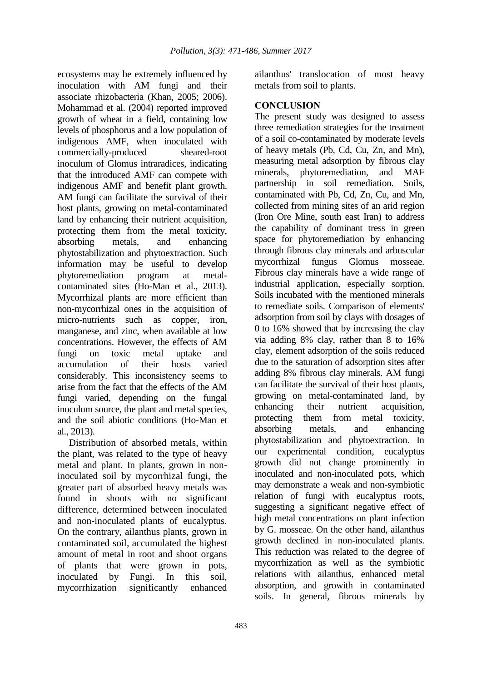ecosystems may be extremely influenced by inoculation with AM fungi and their associate rhizobacteria (Khan, 2005; 2006). Mohammad et al. (2004) reported improved growth of wheat in a field, containing low levels of phosphorus and a low population of indigenous AMF, when inoculated with commercially-produced sheared-root inoculum of Glomus intraradices, indicating that the introduced AMF can compete with indigenous AMF and benefit plant growth. AM fungi can facilitate the survival of their host plants, growing on metal-contaminated land by enhancing their nutrient acquisition, protecting them from the metal toxicity, absorbing metals, and enhancing phytostabilization and phytoextraction. Such information may be useful to develop phytoremediation program at metalcontaminated sites (Ho-Man et al., 2013). Mycorrhizal plants are more efficient than non-mycorrhizal ones in the acquisition of micro-nutrients such as copper, iron, manganese, and zinc, when available at low concentrations. However, the effects of AM fungi on toxic metal uptake and accumulation of their hosts varied considerably. This inconsistency seems to arise from the fact that the effects of the AM fungi varied, depending on the fungal inoculum source, the plant and metal species, and the soil abiotic conditions (Ho-Man et al., 2013).

Distribution of absorbed metals, within the plant, was related to the type of heavy metal and plant. In plants, grown in noninoculated soil by mycorrhizal fungi, the greater part of absorbed heavy metals was found in shoots with no significant difference, determined between inoculated and non-inoculated plants of eucalyptus. On the contrary, ailanthus plants, grown in contaminated soil, accumulated the highest amount of metal in root and shoot organs of plants that were grown in pots, inoculated by Fungi. In this soil, mycorrhization significantly enhanced

ailanthus' translocation of most heavy metals from soil to plants.

## **CONCLUSION**

The present study was designed to assess three remediation strategies for the treatment of a soil co-contaminated by moderate levels of heavy metals (Pb, Cd, Cu, Zn, and Mn), measuring metal adsorption by fibrous clay minerals, phytoremediation, and MAF partnership in soil remediation. Soils, contaminated with Pb, Cd, Zn, Cu, and Mn, collected from mining sites of an arid region (Iron Ore Mine, south east Iran) to address the capability of dominant tress in green space for phytoremediation by enhancing through fibrous clay minerals and arbuscular mycorrhizal fungus Glomus mosseae. Fibrous clay minerals have a wide range of industrial application, especially sorption. Soils incubated with the mentioned minerals to remediate soils. Comparison of elements' adsorption from soil by clays with dosages of 0 to 16% showed that by increasing the clay via adding 8% clay, rather than 8 to 16% clay, element adsorption of the soils reduced due to the saturation of adsorption sites after adding 8% fibrous clay minerals. AM fungi can facilitate the survival of their host plants, growing on metal-contaminated land, by enhancing their nutrient acquisition, protecting them from metal toxicity, absorbing metals, and enhancing phytostabilization and phytoextraction. In our experimental condition, eucalyptus growth did not change prominently in inoculated and non-inoculated pots, which may demonstrate a weak and non-symbiotic relation of fungi with eucalyptus roots, suggesting a significant negative effect of high metal concentrations on plant infection by G. mosseae. On the other hand, ailanthus growth declined in non-inoculated plants. This reduction was related to the degree of mycorrhization as well as the symbiotic relations with ailanthus, enhanced metal absorption, and growith in contaminated soils. In general, fibrous minerals by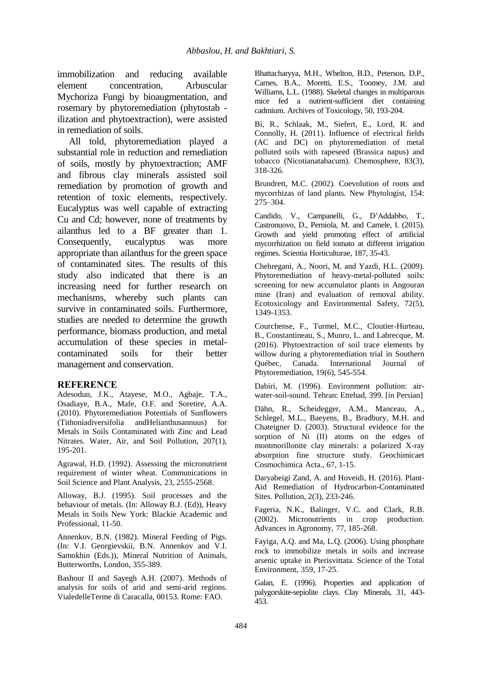immobilization and reducing available element concentration, Arbuscular Mychoriza Fungi by bioaugmentation, and rosemary by phytoremediation (phytostab ilization and phytoextraction), were assisted in remediation of soils.

All told, phytoremediation played a substantial role in reduction and remediation of soils, mostly by phytoextraction; AMF and fibrous clay minerals assisted soil remediation by promotion of growth and retention of toxic elements, respectively. Eucalyptus was well capable of extracting Cu and Cd; however, none of treatments by ailanthus led to a BF greater than 1. Consequently, eucalyptus was more appropriate than ailanthus for the green space of contaminated sites. The results of this study also indicated that there is an increasing need for further research on mechanisms, whereby such plants can survive in contaminated soils. Furthermore, studies are needed to determine the growth performance, biomass production, and metal accumulation of these species in metalcontaminated soils for their better management and conservation.

#### **REFERENCE**

Adesodun, J.K., Atayese, M.O., Agbaje, T.A., Osadiaye, B.A., Mafe, O.F. and Soretire, A.A. (2010). Phytoremediation Potentials of Sunflowers (Tithoniadiversifolia andHelianthusannuus) for Metals in Soils Contaminated with Zinc and Lead Nitrates. Water, Air, and Soil Pollution, 207(1), 195-201.

Agrawal, H.D. (1992). Assessing the micronutrient requirement of winter wheat. Communications in Soil Science and Plant Analysis, 23, 2555-2568.

Alloway, B.J. (1995). Soil processes and the behaviour of metals. (In: Alloway B.J. (Ed)), Heavy Metals in Soils New York: Blackie Academic and Professional, 11-50.

Annenkov, B.N. (1982). Mineral Feeding of Pigs. (In: V.I. Georgievskii, B.N. Annenkov and V.I. Samokhin (Eds.)), Mineral Nutrition of Animals, Butterworths, London, 355-389.

Bashour II and Sayegh A.H. (2007). Methods of analysis for soils of arid and semi-arid regions. VialedelleTerme di Caracalla, 00153. Rome: FAO.

Bhattacharyya, M.H., Whelton, B.D., Peterson, D.P., Carnes, B.A., Moretti, E.S., Toomey, J.M. and Williams, L.L. (1988). Skeletal changes in multiparous mice fed a nutrient-sufficient diet containing cadmium. Archives of Toxicology, 50, 193-204.

Bi, R., Schlaak, M., Siefert, E., Lord, R. and Connolly, H. (2011). Influence of electrical fields (AC and DC) on phytoremediation of metal polluted soils with rapeseed (Brassica napus) and tobacco (Nicotianatabacum). Chemosphere, 83(3), 318-326.

Brundrett, M.C. (2002). Coevolution of roots and mycorrhizas of land plants. New Phytologist, 154: 275–304.

Candido, V., Campanelli, G., D'Addabbo, T., Castronuovo, D., Perniola, M. and Camele, I. (2015). Growth and yield promoting effect of artificial mycorrhization on field tomato at different irrigation regimes. Scientia Horticulturae, 187, 35-43.

Chehregani, A., Noori, M. and Yazdi, H.L. (2009). Phytoremediation of heavy-metal-polluted soils: screening for new accumulator plants in Angouran mine (Iran) and evaluation of removal ability. Ecotoxicology and Environmental Safety, 72(5), 1349-1353.

Courchense, F., Turmel, M.C., Cloutier-Hurteau, B., Constantineau, S., Munro, L. and Labrecque, M. (2016). Phytoextraction of soil trace elements by willow during a phytoremediation trial in Southern Québec, Canada. International Journal of Phytoremediation, 19(6), 545-554.

Dabiri, M. (1996). Environment pollution: airwater-soil-sound. Tehran: Ettehad, 399. [in Persian]

Dähn, R., Scheidegger, A.M., Manceau, A., Schlegel, M.L., Baeyens, B., Bradbury, M.H. and Chateigner D. (2003). Structural evidence for the sorption of Ni (II) atoms on the edges of montmorillonite clay minerals: a polarized X-ray absorption fine structure study. Geochimicaet Cosmochimica Acta., 67, 1-15.

Daryabeigi Zand, A. and Hoveidi, H. (2016). Plant-Aid Remediation of Hydrocarbon-Contaminated Sites. Pollution, 2(3), 233-246.

Fageria, N.K., Balinger, V.C. and Clark, R.B. (2002). Micronutrients in crop production. Advances in Agronomy, 77, 185-268.

Fayiga, A.Q. and Ma, L.Q. (2006). Using phosphate rock to immobilize metals in soils and increase arsenic uptake in Pterisvittata. Science of the Total Environment, 359, 17-25.

Galan, E. (1996). Properties and application of palygorskite-sepiolite clays. Clay Minerals, 31, 443- 453.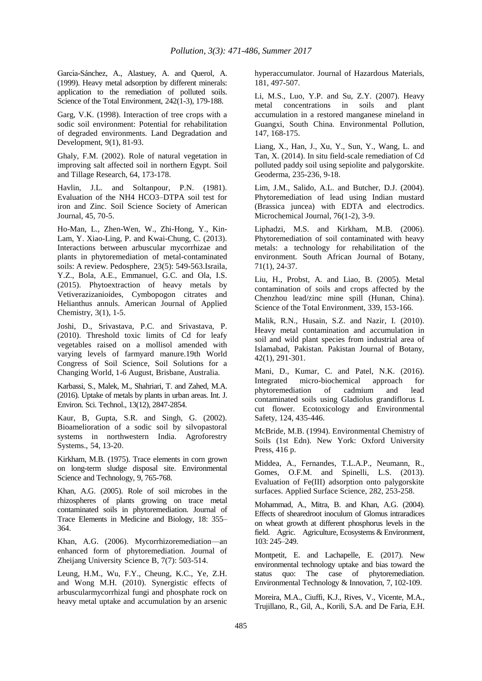García-Sánchez, A., Alastuey, A. and Querol, A. (1999). Heavy metal adsorption by different minerals: application to the remediation of polluted soils. Science of the Total Environment, 242(1-3), 179-188.

Garg, V.K. (1998). Interaction of tree crops with a sodic soil environment: Potential for rehabilitation of degraded environments. Land Degradation and Development, 9(1), 81-93.

Ghaly, F.M. (2002). Role of natural vegetation in improving salt affected soil in northern Egypt. Soil and Tillage Research, 64, 173-178.

Havlin, J.L. and Soltanpour, P.N. (1981). Evaluation of the NH4 HCO3–DTPA soil test for iron and Zinc. Soil Science Society of American Journal, 45, 70-5.

Ho-Man, L., Zhen-Wen, W., Zhi-Hong, Y., Kin-Lam, Y. Xiao-Ling, P. and Kwai-Chung, C. (2013). Interactions between arbuscular mycorrhizae and plants in phytoremediation of metal-contaminated soils: A review. Pedosphere, 23(5): 549-563.Israila, Y.Z., Bola, A.E., Emmanuel, G.C. and Ola, I.S. (2015). Phytoextraction of heavy metals by Vetiverazizanioides, Cymbopogon citrates and Helianthus annuls. American Journal of Applied Chemistry, 3(1), 1-5.

Joshi, D., Srivastava, P.C. and Srivastava, P. (2010). Threshold toxic limits of Cd for leafy vegetables raised on a mollisol amended with varying levels of farmyard manure.19th World Congress of Soil Science, Soil Solutions for a Changing World, 1-6 August, Brisbane, Australia.

Karbassi, S., Malek, M., Shahriari, T. and Zahed, M.A. (2016). Uptake of metals by plants in urban areas. Int. J. Environ. Sci. Technol., 13(12), 2847-2854.

Kaur, B, Gupta, S.R. and Singh, G. (2002). Bioamelioration of a sodic soil by silvopastoral systems in northwestern India. Agroforestry Systems., 54, 13-20.

Kirkham, M.B. (1975). Trace elements in corn grown on long-term sludge disposal site. Environmental Science and Technology, 9, 765-768.

Khan, A.G. (2005). Role of soil microbes in the rhizospheres of plants growing on trace metal contaminated soils in phytoremediation. Journal of Trace Elements in Medicine and Biology, 18: 355– 364.

Khan, A.G. (2006). Mycorrhizoremediation—an enhanced form of phytoremediation. Journal of Zheijang University Science B, 7(7): 503-514.

Leung, H.M., Wu, F.Y., Cheung, K.C., Ye, Z.H. and Wong M.H. (2010). Synergistic effects of arbuscularmycorrhizal fungi and phosphate rock on heavy metal uptake and accumulation by an arsenic hyperaccumulator. Journal of Hazardous Materials, 181, 497-507.

Li, M.S., Luo, Y.P. and Su, Z.Y. (2007). Heavy metal concentrations in soils and plant accumulation in a restored manganese mineland in Guangxi, South China. Environmental Pollution, 147, 168-175.

Liang, X., Han, J., Xu, Y., Sun, Y., Wang, L. and Tan, X. (2014). In situ field-scale remediation of Cd polluted paddy soil using sepiolite and palygorskite. Geoderma, 235-236, 9-18.

Lim, J.M., Salido, A.L. and Butcher, D.J. (2004). Phytoremediation of lead using Indian mustard (Brassica juncea) with EDTA and electrodics. Microchemical Journal, 76(1-2), 3-9.

Liphadzi, M.S. and Kirkham, M.B. (2006). Phytoremediation of soil contaminated with heavy metals: a technology for rehabilitation of the environment. South African Journal of Botany, 71(1), 24-37.

Liu, H., Probst, A. and Liao, B. (2005). Metal contamination of soils and crops affected by the Chenzhou lead/zinc mine spill (Hunan, China). Science of the Total Environment, 339, 153-166.

Malik, R.N., Husain, S.Z. and Nazir, I. (2010). Heavy metal contamination and accumulation in soil and wild plant species from industrial area of Islamabad, Pakistan. Pakistan Journal of Botany, 42(1), 291-301.

Mani, D., Kumar, C. and Patel, N.K. (2016). Integrated micro-biochemical approach for phytoremediation of cadmium and lead contaminated soils using Gladiolus grandiflorus L cut flower. Ecotoxicology and Environmental Safety, 124, 435-446.

McBride, M.B. (1994). Environmental Chemistry of Soils (1st Edn). New York: Oxford University Press, 416 p.

Middea, A., Fernandes, T.L.A.P., Neumann, R., Gomes, O.F.M. and Spinelli, L.S. (2013). Evaluation of Fe(III) adsorption onto palygorskite surfaces. Applied Surface Science, 282, 253-258.

Mohammad, A., Mitra, B. and Khan, A.G. (2004). Effects of shearedroot inoculum of Glomus intraradices on wheat growth at different phosphorus levels in the field. Agric. Agriculture, Ecosystems & Environment, 103: 245–249.

Montpetit, E. and Lachapelle, E. (2017). New environmental technology uptake and bias toward the status quo: The case of phytoremediation. Environmental Technology & Innovation, 7, 102-109.

Moreira, M.A., Ciuffi, K.J., Rives, V., Vicente, M.A., Trujillano, R., Gil, A., Korili, S.A. and De Faria, E.H.